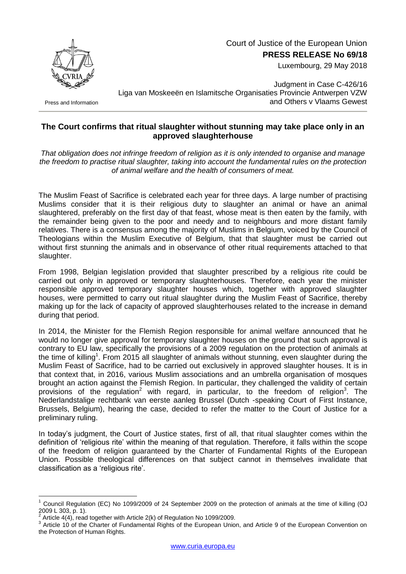Court of Justice of the European Union **PRESS RELEASE No 69/18**

Luxembourg, 29 May 2018



Press and Information

Judgment in Case C-426/16 Liga van Moskeeën en Islamitsche Organisaties Provincie Antwerpen VZW and Others v Vlaams Gewest

## **The Court confirms that ritual slaughter without stunning may take place only in an approved slaughterhouse**

*That obligation does not infringe freedom of religion as it is only intended to organise and manage the freedom to practise ritual slaughter, taking into account the fundamental rules on the protection of animal welfare and the health of consumers of meat.*

The Muslim Feast of Sacrifice is celebrated each year for three days. A large number of practising Muslims consider that it is their religious duty to slaughter an animal or have an animal slaughtered, preferably on the first day of that feast, whose meat is then eaten by the family, with the remainder being given to the poor and needy and to neighbours and more distant family relatives. There is a consensus among the majority of Muslims in Belgium, voiced by the Council of Theologians within the Muslim Executive of Belgium, that that slaughter must be carried out without first stunning the animals and in observance of other ritual requirements attached to that slaughter.

From 1998, Belgian legislation provided that slaughter prescribed by a religious rite could be carried out only in approved or temporary slaughterhouses. Therefore, each year the minister responsible approved temporary slaughter houses which, together with approved slaughter houses, were permitted to carry out ritual slaughter during the Muslim Feast of Sacrifice, thereby making up for the lack of capacity of approved slaughterhouses related to the increase in demand during that period.

In 2014, the Minister for the Flemish Region responsible for animal welfare announced that he would no longer give approval for temporary slaughter houses on the ground that such approval is contrary to EU law, specifically the provisions of a 2009 regulation on the protection of animals at the time of killing<sup>1</sup>. From 2015 all slaughter of animals without stunning, even slaughter during the Muslim Feast of Sacrifice, had to be carried out exclusively in approved slaughter houses. It is in that context that, in 2016, various Muslim associations and an umbrella organisation of mosques brought an action against the Flemish Region. In particular, they challenged the validity of certain provisions of the regulation<sup>2</sup> with regard, in particular, to the freedom of religion<sup>3</sup>. The Nederlandstalige rechtbank van eerste aanleg Brussel (Dutch -speaking Court of First Instance, Brussels, Belgium), hearing the case, decided to refer the matter to the Court of Justice for a preliminary ruling.

In today's judgment, the Court of Justice states, first of all, that ritual slaughter comes within the definition of 'religious rite' within the meaning of that regulation. Therefore, it falls within the scope of the freedom of religion guaranteed by the Charter of Fundamental Rights of the European Union. Possible theological differences on that subject cannot in themselves invalidate that classification as a 'religious rite'.

1

<sup>1</sup> Council Regulation (EC) No 1099/2009 of 24 September 2009 on the protection of animals at the time of killing (OJ 2009 L 303, p. 1).

<sup>2</sup> Article 4(4), read together with Article 2(k) of Regulation No 1099/2009.

<sup>&</sup>lt;sup>3</sup> Article 10 of the Charter of Fundamental Rights of the European Union, and Article 9 of the European Convention on the Protection of Human Rights.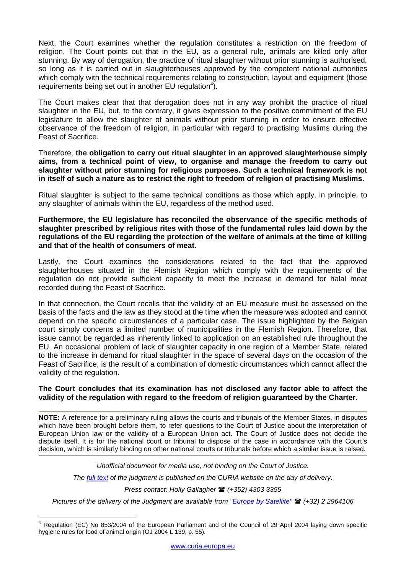Next, the Court examines whether the regulation constitutes a restriction on the freedom of religion. The Court points out that in the EU, as a general rule, animals are killed only after stunning. By way of derogation, the practice of ritual slaughter without prior stunning is authorised, so long as it is carried out in slaughterhouses approved by the competent national authorities which comply with the technical requirements relating to construction, layout and equipment (those requirements being set out in another EU regulation<sup>4</sup>).

The Court makes clear that that derogation does not in any way prohibit the practice of ritual slaughter in the EU, but, to the contrary, it gives expression to the positive commitment of the EU legislature to allow the slaughter of animals without prior stunning in order to ensure effective observance of the freedom of religion, in particular with regard to practising Muslims during the Feast of Sacrifice.

Therefore, **the obligation to carry out ritual slaughter in an approved slaughterhouse simply aims, from a technical point of view, to organise and manage the freedom to carry out slaughter without prior stunning for religious purposes. Such a technical framework is not in itself of such a nature as to restrict the right to freedom of religion of practising Muslims.**

Ritual slaughter is subject to the same technical conditions as those which apply, in principle, to any slaughter of animals within the EU, regardless of the method used.

**Furthermore, the EU legislature has reconciled the observance of the specific methods of slaughter prescribed by religious rites with those of the fundamental rules laid down by the regulations of the EU regarding the protection of the welfare of animals at the time of killing and that of the health of consumers of meat**.

Lastly, the Court examines the considerations related to the fact that the approved slaughterhouses situated in the Flemish Region which comply with the requirements of the regulation do not provide sufficient capacity to meet the increase in demand for halal meat recorded during the Feast of Sacrifice.

In that connection, the Court recalls that the validity of an EU measure must be assessed on the basis of the facts and the law as they stood at the time when the measure was adopted and cannot depend on the specific circumstances of a particular case. The issue highlighted by the Belgian court simply concerns a limited number of municipalities in the Flemish Region. Therefore, that issue cannot be regarded as inherently linked to application on an established rule throughout the EU. An occasional problem of lack of slaughter capacity in one region of a Member State, related to the increase in demand for ritual slaughter in the space of several days on the occasion of the Feast of Sacrifice, is the result of a combination of domestic circumstances which cannot affect the validity of the regulation.

## **The Court concludes that its examination has not disclosed any factor able to affect the validity of the regulation with regard to the freedom of religion guaranteed by the Charter.**

**NOTE:** A reference for a preliminary ruling allows the courts and tribunals of the Member States, in disputes which have been brought before them, to refer questions to the Court of Justice about the interpretation of European Union law or the validity of a European Union act. The Court of Justice does not decide the dispute itself. It is for the national court or tribunal to dispose of the case in accordance with the Court's decision, which is similarly binding on other national courts or tribunals before which a similar issue is raised.

*Unofficial document for media use, not binding on the Court of Justice.*

*The [full text](http://curia.europa.eu/juris/documents.jsf?num=C-426/16) of the judgment is published on the CURIA website on the day of delivery.*

*Press contact: Holly Gallagher (+352) 4303 3355*

*Pictures of the delivery of the Judgment are available from ["Europe by Satellite"](http://ec.europa.eu/avservices/ebs/schedule.cfm?page=1) (+32) 2 2964106*

<sup>&</sup>lt;u>.</u> <sup>4</sup> Regulation (EC) No 853/2004 of the European Parliament and of the Council of 29 April 2004 laying down specific hygiene rules for food of animal origin (OJ 2004 L 139, p. 55).